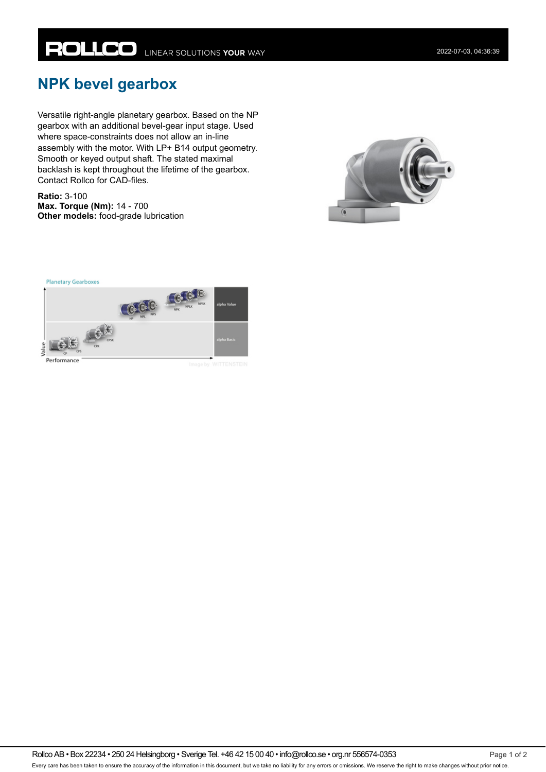## **NPK bevel gearbox**

Versatile right-angle planetary gearbox. Based on the NP gearbox with an additional bevel-gear input stage. Used where space-constraints does not allow an in-line assembly with the motor. With LP+ B14 output geometry. Smooth or keyed output shaft. The stated maximal backlash is kept throughout the lifetime of the gearbox. Contact Rollco for CAD-files.

**Ratio:** 3-100 **Max. Torque (Nm):** 14 - 700 **Other models:** food-grade lubrication





Rollco AB • Box 22234 • 250 24 Helsingborg • Sverige Tel. +46 42 15 00 40 • info@rollco.se • org.nr 556574-0353 Page 1 of 2 Every care has been taken to ensure the accuracy of the information in this document, but we take no liability for any errors or omissions. We reserve the right to make changes without prior notice.